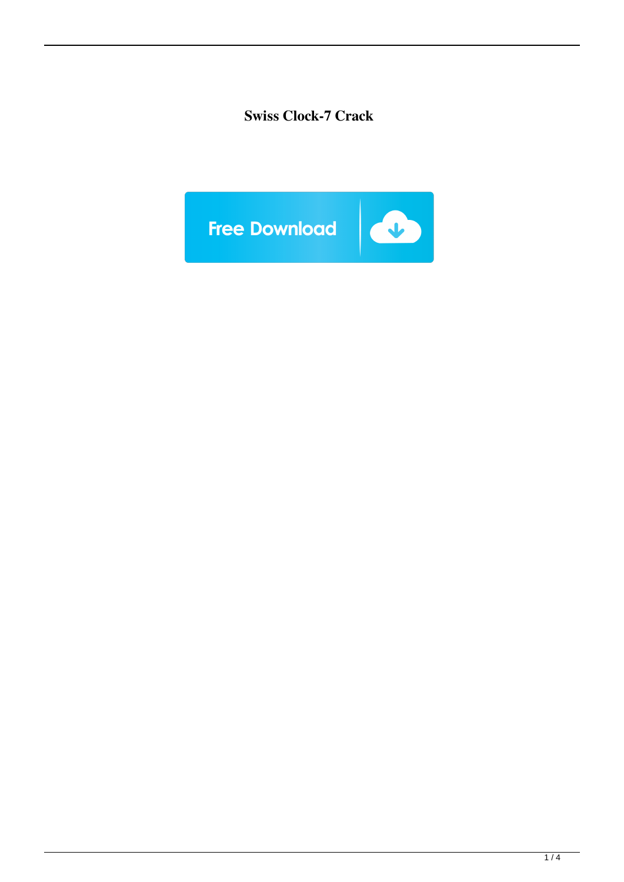# **Swiss Clock-7 Crack**

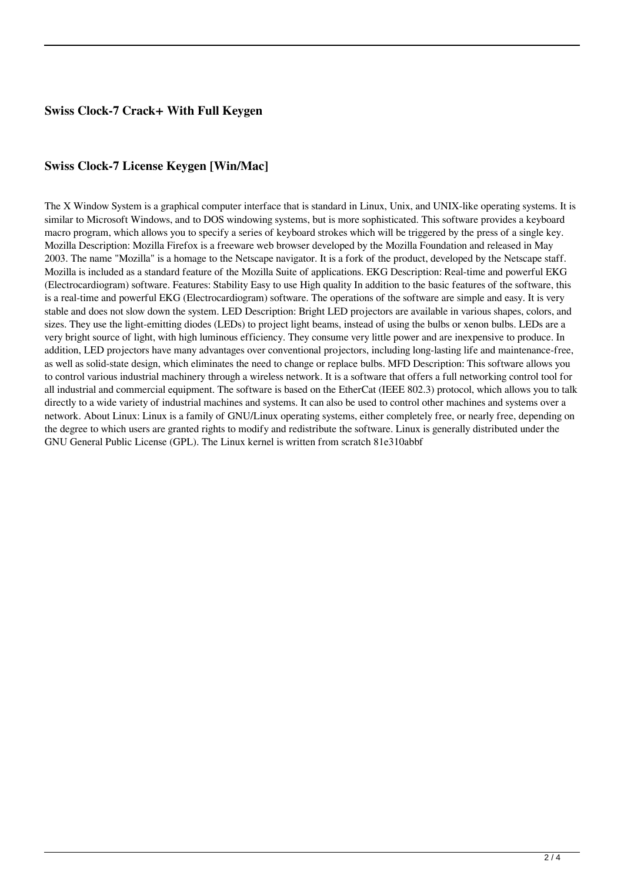## **Swiss Clock-7 Crack+ With Full Keygen**

### **Swiss Clock-7 License Keygen [Win/Mac]**

The X Window System is a graphical computer interface that is standard in Linux, Unix, and UNIX-like operating systems. It is similar to Microsoft Windows, and to DOS windowing systems, but is more sophisticated. This software provides a keyboard macro program, which allows you to specify a series of keyboard strokes which will be triggered by the press of a single key. Mozilla Description: Mozilla Firefox is a freeware web browser developed by the Mozilla Foundation and released in May 2003. The name "Mozilla" is a homage to the Netscape navigator. It is a fork of the product, developed by the Netscape staff. Mozilla is included as a standard feature of the Mozilla Suite of applications. EKG Description: Real-time and powerful EKG (Electrocardiogram) software. Features: Stability Easy to use High quality In addition to the basic features of the software, this is a real-time and powerful EKG (Electrocardiogram) software. The operations of the software are simple and easy. It is very stable and does not slow down the system. LED Description: Bright LED projectors are available in various shapes, colors, and sizes. They use the light-emitting diodes (LEDs) to project light beams, instead of using the bulbs or xenon bulbs. LEDs are a very bright source of light, with high luminous efficiency. They consume very little power and are inexpensive to produce. In addition, LED projectors have many advantages over conventional projectors, including long-lasting life and maintenance-free, as well as solid-state design, which eliminates the need to change or replace bulbs. MFD Description: This software allows you to control various industrial machinery through a wireless network. It is a software that offers a full networking control tool for all industrial and commercial equipment. The software is based on the EtherCat (IEEE 802.3) protocol, which allows you to talk directly to a wide variety of industrial machines and systems. It can also be used to control other machines and systems over a network. About Linux: Linux is a family of GNU/Linux operating systems, either completely free, or nearly free, depending on the degree to which users are granted rights to modify and redistribute the software. Linux is generally distributed under the GNU General Public License (GPL). The Linux kernel is written from scratch 81e310abbf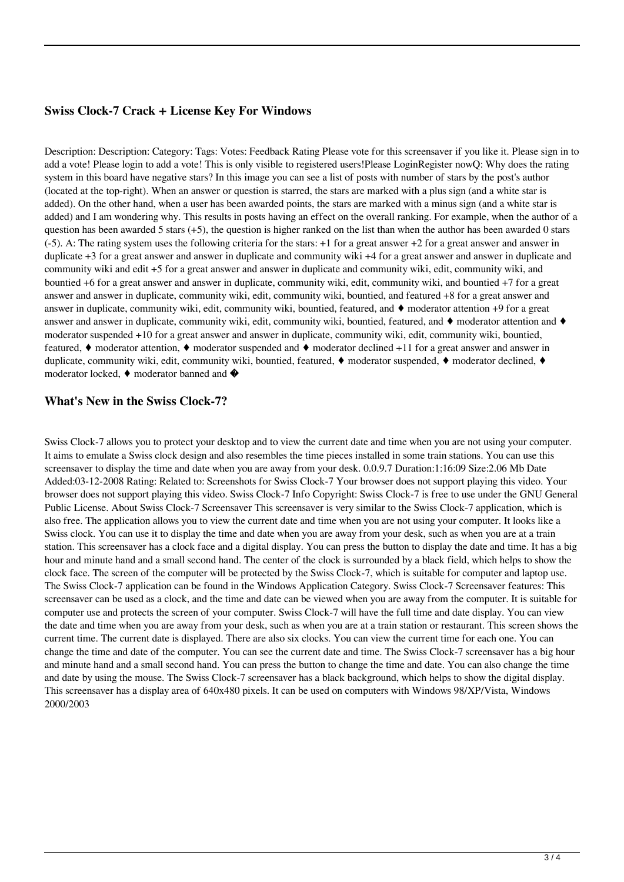#### **Swiss Clock-7 Crack + License Key For Windows**

Description: Description: Category: Tags: Votes: Feedback Rating Please vote for this screensaver if you like it. Please sign in to add a vote! Please login to add a vote! This is only visible to registered users!Please LoginRegister nowQ: Why does the rating system in this board have negative stars? In this image you can see a list of posts with number of stars by the post's author (located at the top-right). When an answer or question is starred, the stars are marked with a plus sign (and a white star is added). On the other hand, when a user has been awarded points, the stars are marked with a minus sign (and a white star is added) and I am wondering why. This results in posts having an effect on the overall ranking. For example, when the author of a question has been awarded 5 stars (+5), the question is higher ranked on the list than when the author has been awarded 0 stars (-5). A: The rating system uses the following criteria for the stars: +1 for a great answer +2 for a great answer and answer in duplicate +3 for a great answer and answer in duplicate and community wiki +4 for a great answer and answer in duplicate and community wiki and edit +5 for a great answer and answer in duplicate and community wiki, edit, community wiki, and bountied +6 for a great answer and answer in duplicate, community wiki, edit, community wiki, and bountied +7 for a great answer and answer in duplicate, community wiki, edit, community wiki, bountied, and featured +8 for a great answer and answer in duplicate, community wiki, edit, community wiki, bountied, featured, and  $\bullet$  moderator attention +9 for a great answer and answer in duplicate, community wiki, edit, community wiki, bountied, featured, and ♦ moderator attention and ♦ moderator suspended +10 for a great answer and answer in duplicate, community wiki, edit, community wiki, bountied, featured, ♦ moderator attention, ♦ moderator suspended and ♦ moderator declined +11 for a great answer and answer in duplicate, community wiki, edit, community wiki, bountied, featured, ♦ moderator suspended, ♦ moderator declined, ♦ moderator locked,  $\blacklozenge$  moderator banned and  $\blacklozenge$ 

#### **What's New in the Swiss Clock-7?**

Swiss Clock-7 allows you to protect your desktop and to view the current date and time when you are not using your computer. It aims to emulate a Swiss clock design and also resembles the time pieces installed in some train stations. You can use this screensaver to display the time and date when you are away from your desk. 0.0.9.7 Duration:1:16:09 Size:2.06 Mb Date Added:03-12-2008 Rating: Related to: Screenshots for Swiss Clock-7 Your browser does not support playing this video. Your browser does not support playing this video. Swiss Clock-7 Info Copyright: Swiss Clock-7 is free to use under the GNU General Public License. About Swiss Clock-7 Screensaver This screensaver is very similar to the Swiss Clock-7 application, which is also free. The application allows you to view the current date and time when you are not using your computer. It looks like a Swiss clock. You can use it to display the time and date when you are away from your desk, such as when you are at a train station. This screensaver has a clock face and a digital display. You can press the button to display the date and time. It has a big hour and minute hand and a small second hand. The center of the clock is surrounded by a black field, which helps to show the clock face. The screen of the computer will be protected by the Swiss Clock-7, which is suitable for computer and laptop use. The Swiss Clock-7 application can be found in the Windows Application Category. Swiss Clock-7 Screensaver features: This screensaver can be used as a clock, and the time and date can be viewed when you are away from the computer. It is suitable for computer use and protects the screen of your computer. Swiss Clock-7 will have the full time and date display. You can view the date and time when you are away from your desk, such as when you are at a train station or restaurant. This screen shows the current time. The current date is displayed. There are also six clocks. You can view the current time for each one. You can change the time and date of the computer. You can see the current date and time. The Swiss Clock-7 screensaver has a big hour and minute hand and a small second hand. You can press the button to change the time and date. You can also change the time and date by using the mouse. The Swiss Clock-7 screensaver has a black background, which helps to show the digital display. This screensaver has a display area of 640x480 pixels. It can be used on computers with Windows 98/XP/Vista, Windows 2000/2003